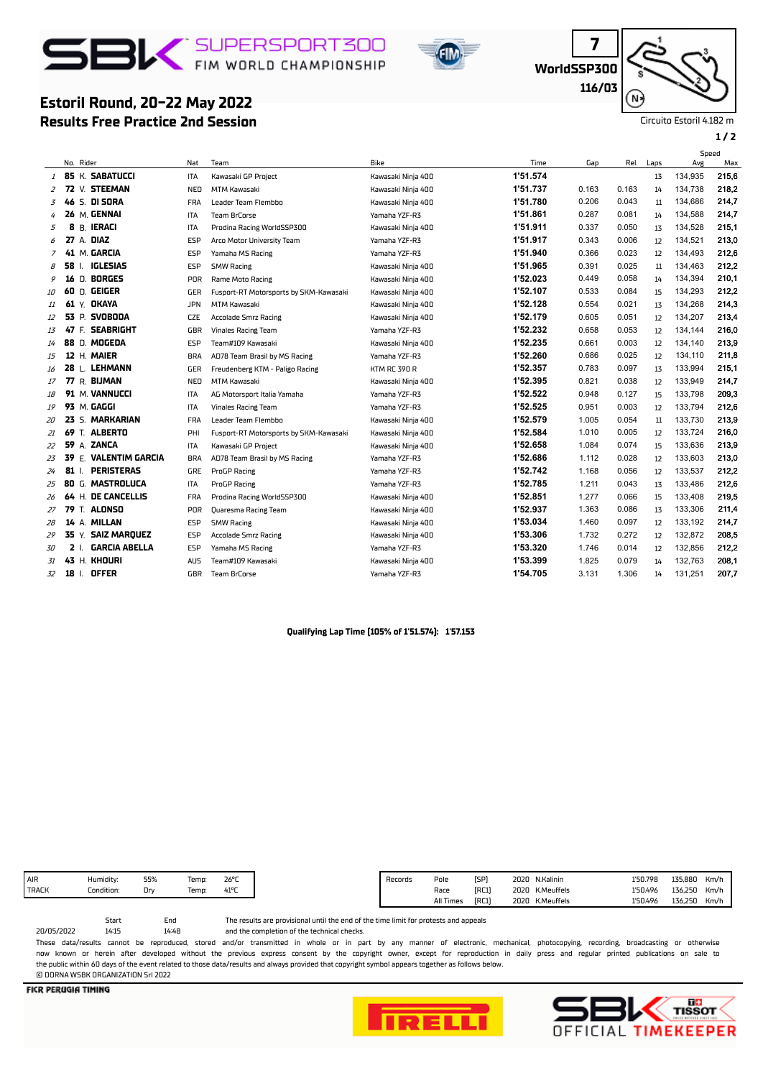## **BIC** SUPERSPORT300



**WorldSSP300**

**7**

**116/03** N

Circuito Estoril 4.182 m

### **1 / 2**

### **Estoril Round, 20-22 May 2022**

**Results Free Practice 2nd Session**

|    | No. Rider |              |                          | Nat        | Team                                   | Bike                | Time     | Gap   | Rel.  | Laps | Speed<br>Avg | Max   |
|----|-----------|--------------|--------------------------|------------|----------------------------------------|---------------------|----------|-------|-------|------|--------------|-------|
|    |           |              | <b>1 85 K. SABATUCCI</b> | <b>ITA</b> | Kawasaki GP Proiect                    | Kawasaki Ninia 400  | 1'51.574 |       |       | 13   | 134,935      | 215,6 |
| 2  |           |              | 72 V. STEEMAN            | NED        | MTM Kawasaki                           | Kawasaki Ninja 400  | 1'51.737 | 0.163 | 0.163 | 14   | 134,738      | 218,2 |
| 3  | 46        |              | S. DI SORA               | <b>FRA</b> | Leader Team Flembbo                    | Kawasaki Ninja 400  | 1'51.780 | 0.206 | 0.043 | 11   | 134,686      | 214,7 |
|    |           |              | 26 M. GENNAI             | ITA        | Team BrCorse                           | Yamaha YZF-R3       | 1'51.861 | 0.287 | 0.081 | 14   | 134,588      | 214,7 |
| 5  |           |              | 8 B. IERACI              | <b>ITA</b> | Prodina Racing WorldSSP300             | Kawasaki Ninja 400  | 1'51.911 | 0.337 | 0.050 | 13   | 134,528      | 215.1 |
| 6  |           |              | 27 A. DIAZ               | ESP        | Arco Motor University Team             | Yamaha YZF-R3       | 1'51.917 | 0.343 | 0.006 | 12   | 134,521      | 213,0 |
| 7  |           |              | 41 M. GARCIA             | ESP        | Yamaha MS Racing                       | Yamaha YZF-R3       | 1'51.940 | 0.366 | 0.023 | 12   | 134,493      | 212,6 |
| 8  | 58 L      |              | <b>IGLESIAS</b>          | ESP        | <b>SMW Racing</b>                      | Kawasaki Ninja 400  | 1'51.965 | 0.391 | 0.025 | 11   | 134,463      | 212,2 |
| 9  |           |              | 16 D. BORGES             | <b>POR</b> | Rame Moto Racing                       | Kawasaki Ninja 400  | 1'52.023 | 0.449 | 0.058 | 14   | 134,394      | 210,1 |
| 10 |           |              | 60 D. GEIGER             | GER        | Fusport-RT Motorsports by SKM-Kawasaki | Kawasaki Ninja 400  | 1'52.107 | 0.533 | 0.084 | 15   | 134,293      | 212,2 |
| 11 |           |              | 61 Y. OKAYA              | <b>JPN</b> | MTM Kawasaki                           | Kawasaki Ninja 400  | 1'52.128 | 0.554 | 0.021 | 13   | 134,268      | 214,3 |
| 12 |           |              | 53 P. SVOBODA            | <b>CZE</b> | Accolade Smrz Racing                   | Kawasaki Ninja 400  | 1'52.179 | 0.605 | 0.051 | 12   | 134,207      | 213,4 |
| 13 |           |              | 47 F. SEABRIGHT          | GBR        | <b>Vinales Racing Team</b>             | Yamaha YZF-R3       | 1'52.232 | 0.658 | 0.053 | 12   | 134,144      | 216,0 |
| 14 |           |              | 88 D. MOGEDA             | ESP        | Team#109 Kawasaki                      | Kawasaki Ninja 400  | 1'52.235 | 0.661 | 0.003 | 12   | 134,140      | 213,9 |
| 15 |           |              | 12 H. MAIER              | <b>BRA</b> | AD78 Team Brasil by MS Racing          | Yamaha YZF-R3       | 1'52.260 | 0.686 | 0.025 | 12   | 134,110      | 211,8 |
| 16 |           |              | 28 L. LEHMANN            | GER        | Freudenberg KTM - Paligo Racing        | <b>KTM RC 390 R</b> | 1'52.357 | 0.783 | 0.097 | 13   | 133,994      | 215.1 |
| 17 |           |              | 77 R. BIJMAN             | NED        | <b>MTM Kawasaki</b>                    | Kawasaki Ninja 400  | 1'52.395 | 0.821 | 0.038 | 12   | 133,949      | 214,7 |
| 18 |           |              | 91 M. VANNUCCI           | ITA        | AG Motorsport Italia Yamaha            | Yamaha YZF-R3       | 1'52.522 | 0.948 | 0.127 | 15   | 133,798      | 209,3 |
| 19 |           |              | 93 M. GAGGI              | <b>ITA</b> | <b>Vinales Racing Team</b>             | Yamaha YZF-R3       | 1'52.525 | 0.951 | 0.003 | 12   | 133,794      | 212,6 |
| 20 |           |              | 23 S. MARKARIAN          | <b>FRA</b> | Leader Team Flembbo                    | Kawasaki Ninja 400  | 1'52.579 | 1.005 | 0.054 | 11   | 133,730      | 213,9 |
| 21 | 69        |              | T. ALBERTO               | PHI        | Fusport-RT Motorsports by SKM-Kawasaki | Kawasaki Ninja 400  | 1'52.584 | 1.010 | 0.005 | 12   | 133,724      | 216,0 |
| 22 |           |              | 59 A. ZANCA              | ITA        | Kawasaki GP Project                    | Kawasaki Ninja 400  | 1'52.658 | 1.084 | 0.074 | 15   | 133,636      | 213,9 |
| 23 |           |              | 39 E. VALENTIM GARCIA    | <b>BRA</b> | AD78 Team Brasil by MS Racing          | Yamaha YZF-R3       | 1'52.686 | 1.112 | 0.028 | 12   | 133,603      | 213,0 |
| 24 | 81        | $\mathbf{I}$ | <b>PERISTERAS</b>        | GRE        | ProGP Racing                           | Yamaha YZF-R3       | 1'52.742 | 1.168 | 0.056 | 12   | 133,537      | 212,2 |
| 25 |           |              | 80 G. MASTROLUCA         | ITA        | ProGP Racing                           | Yamaha YZF-R3       | 1'52.785 | 1.211 | 0.043 | 13   | 133,486      | 212,6 |
| 26 |           |              | 64 H. DE CANCELLIS       | <b>FRA</b> | Prodina Racing WorldSSP300             | Kawasaki Ninja 400  | 1'52.851 | 1.277 | 0.066 | 15   | 133,408      | 219,5 |
| 27 | 79        |              | T. ALONSO                | <b>POR</b> | Quaresma Racing Team                   | Kawasaki Ninja 400  | 1'52.937 | 1.363 | 0.086 | 13   | 133,306      | 211,4 |
| 28 |           |              | 14 A. MILLAN             | ESP        | <b>SMW Racing</b>                      | Kawasaki Ninja 400  | 1'53.034 | 1.460 | 0.097 | 12   | 133,192      | 214,7 |
| 29 | 35 Y.     |              | <b>SAIZ MAROUEZ</b>      | ESP        | Accolade Smrz Racing                   | Kawasaki Ninja 400  | 1'53.306 | 1.732 | 0.272 | 12   | 132,872      | 208,5 |
| 30 | 2 L       |              | <b>GARCIA ABELLA</b>     | ESP        | Yamaha MS Racing                       | Yamaha YZF-R3       | 1'53.320 | 1.746 | 0.014 | 12   | 132,856      | 212,2 |
| 31 |           |              | 43 H. KHOURI             | <b>AUS</b> | Team#109 Kawasaki                      | Kawasaki Ninja 400  | 1'53.399 | 1.825 | 0.079 | 14   | 132.763      | 208.1 |
| 32 | 18 L      |              | <b>OFFER</b>             | GBR        | <b>Team BrCorse</b>                    | Yamaha YZF-R3       | 1'54.705 | 3.131 | 1.306 | 14   | 131,251      | 207,7 |
|    |           |              |                          |            |                                        |                     |          |       |       |      |              |       |

#### **Qualifying Lap Time (105% of 1'51.574): 1'57.153**

| AIR | Humidity:  | 55% | Temp: | 26°C           |
|-----|------------|-----|-------|----------------|
|     | Condition: | Dr  | emp:  | $41^{\circ}$ C |
|     |            |     |       |                |

and the completion of the technical checks. The results are provisional until the end of the time limit for protests and appeals

14:48 Start End<br>14:15 14:48 20/05/2022 These data/results cannot be reproduced, stored and/or transmitted in whole or in part by any manner of electronic, mechanical, photocopying, recording, broadcasting or otherwise now known or herein afer developed without the previous express consent by the copyright owner, except for reproduction in daily press and regular printed publications on sale to the public within 60 days of the event related to those data/results and always provided that copyright symbol appears together as follows below. © DORNA WSBK ORGANIZATION Srl 2022